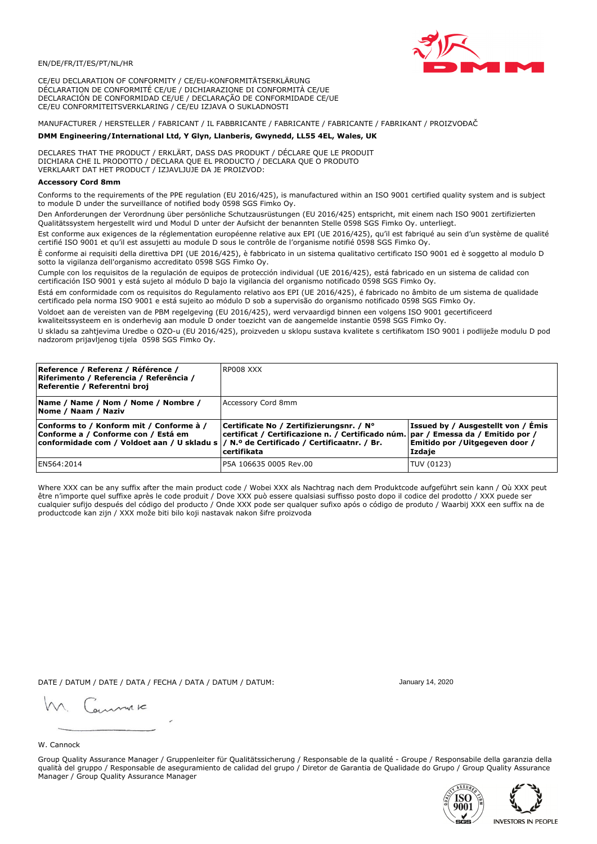

CE/EU DECLARATION OF CONFORMITY / CE/EU-KONFORMITÄTSERKLÄRUNG DÉCLARATION DE CONFORMITÉ CE/UE / DICHIARAZIONE DI CONFORMITÀ CE/UE DECLARACIÓN DE CONFORMIDAD CE/UE / DECLARAÇÃO DE CONFORMIDADE CE/UE CE/EU CONFORMITEITSVERKLARING / CE/EU IZJAVA O SUKLADNOSTI

# MANUFACTURER / HERSTELLER / FABRICANT / IL FABBRICANTE / FABRICANTE / FABRICANTE / FABRIKANT / PROIZVOĐAČ

## DMM Engineering/International Ltd, Y Glyn, Llanberis, Gwynedd, LL55 4EL, Wales, UK

DECLARES THAT THE PRODUCT / ERKLÄRT, DASS DAS PRODUKT / DÉCLARE QUE LE PRODUIT<br>DICHIARA CHE IL PRODOTTO / DECLARA QUE EL PRODUCTO / DECLARA QUE O PRODUTO VERKLAART DAT HET PRODUCT / IZJAVLJUJE DA JE PROIZVOD:

## **Accessory Cord 8mm**

Conforms to the requirements of the PPE regulation (EU 2016/425), is manufactured within an ISO 9001 certified quality system and is subject to module D under the surveillance of notified body 0598 SGS Fimko Oy.

Den Anforderungen der Verordnung über persönliche Schutzausrüstungen (EU 2016/425) entspricht, mit einem nach ISO 9001 zertifizierten Oualitätssystem hergestellt wird und Modul D unter der Aufsicht der benannten Stelle 0598 SGS Fimko Oy. unterliegt.

Est conforme aux exigences de la réglementation européenne relative aux EPI (UE 2016/425), qu'il est fabriqué au sein d'un système de qualité certifié ISO 9001 et qu'il est assujetti au module D sous le contrôle de l'organisme notifié 0598 SGS Fimko Oy.

È conforme ai requisiti della direttiva DPI (UE 2016/425), è fabbricato in un sistema qualitativo certificato ISO 9001 ed è soggetto al modulo D sotto la vigilanza dell'organismo accreditato 0598 SGS Fimko Oy.

Cumple con los requisitos de la regulación de equipos de protección individual (UE 2016/425), está fabricado en un sistema de calidad con certificación ISO 9001 y está sujeto al módulo D bajo la vigilancia del organismo notificado 0598 SGS Fimko Oy.

Está em conformidade com os requisitos do Regulamento relativo aos EPI (UE 2016/425), é fabricado no âmbito de um sistema de qualidade certificado pela norma ISO 9001 e está sujeito ao módulo D sob a supervisão do organismo notificado 0598 SGS Fimko Oy.

Voldoet aan de vereisten van de PBM regelgeving (EU 2016/425), werd vervaardigd binnen een volgens ISO 9001 gecertificeerd kwaliteitssysteem en is onderhevig aan module D onder toezicht van de aangemelde instantie 0598 SGS Fimko Oy.

U skladu sa zahtjevima Uredbe o OZO-u (EU 2016/425), proizveden u sklopu sustava kvalitete s certifikatom ISO 9001 i podliježe modulu D pod nadzorom prijavljenog tijela 0598 SGS Fimko Oy.

| Reference / Referenz / Référence /<br>Riferimento / Referencia / Referência /<br>Referentie / Referentni broj                                                               | RP008 XXX                                                                                                                                    |                                                                                 |
|-----------------------------------------------------------------------------------------------------------------------------------------------------------------------------|----------------------------------------------------------------------------------------------------------------------------------------------|---------------------------------------------------------------------------------|
| Name / Name / Nom / Nome / Nombre /<br>Nome / Naam / Naziv                                                                                                                  | Accessory Cord 8mm                                                                                                                           |                                                                                 |
| Conforms to / Konform mit / Conforme à /<br>Conforme a / Conforme con / Está em<br>conformidade com / Voldoet aan / U skladu s  / N.º de Certificado / Certificaatnr. / Br. | Certificate No / Zertifizierungsnr. / N°<br>certificat / Certificazione n. / Certificado núm. par / Emessa da / Emitido por /<br>certifikata | Issued by / Ausgestellt von / Émis<br>Emitido por / Uitgegeven door /<br>Izdaje |
| EN564:2014                                                                                                                                                                  | P5A 106635 0005 Rev.00                                                                                                                       | TUV (0123)                                                                      |

Where XXX can be any suffix after the main product code / Wobei XXX als Nachtrag nach dem Produktcode aufgeführt sein kann / Où XXX peut être n'importe quel suffixe après le code produit / Dove XXX può essere qualsiasi suffisso posto dopo il codice del prodotto / XXX puede ser<br>cualquier sufijo después del código del producto / Onde XXX pode ser qualquer suf productcode kan zijn / XXX može biti bilo koji nastavak nakon šifre proizvoda

DATE / DATUM / DATE / DATA / FECHA / DATA / DATUM / DATUM:

gimmic

January 14, 2020





W. Cannock

Group Quality Assurance Manager / Gruppenleiter für Qualitätssicherung / Responsable de la qualité - Groupe / Responsabile della garanzia della qualità del gruppo / Responsable de aseguramiento de calidad del grupo / Diretor de Garantia de Qualidade do Grupo / Group Quality Assurance Manager / Group Quality Assurance Manager

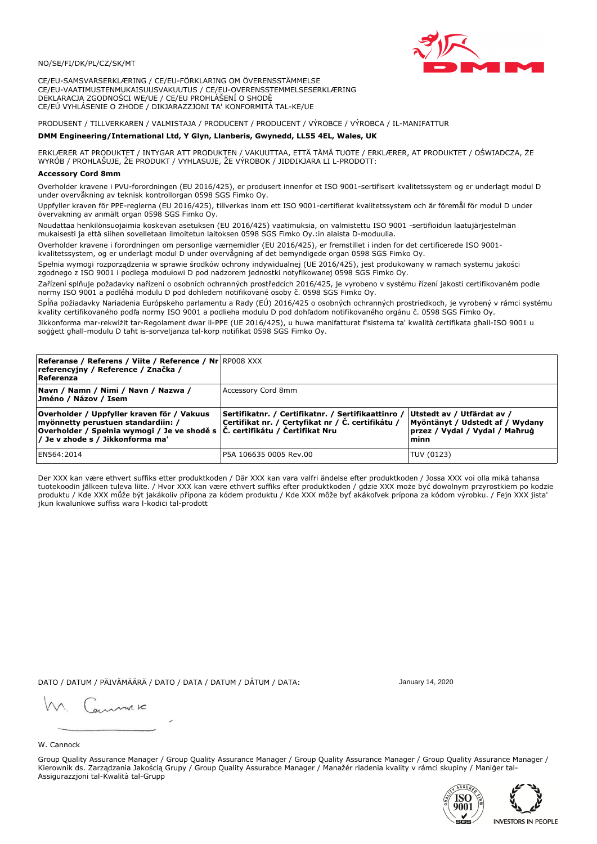

CE/EU-SAMSVARSERKLÆRING / CE/EU-FÖRKLARING OM ÖVERENSSTÄMMELSE CE/EU-VAATIMUSTENMUKAISUUSVAKUUTUS / CE/EU-OVERENSSTEMMELSESERKLÆRING DEKLARACJA ZGODNOŚCI WE/UE / CE/EU PROHLÁŠENÍ O SHODĚ CE/EÚ VYHLÁSENIE O ZHODE / DIKJARAZZJONI TA' KONFORMITÀ TAL-KE/UE

# PRODUSENT / TILLVERKAREN / VALMISTAJA / PRODUCENT / PRODUCENT / VÝROBCE / VÝROBCA / IL-MANIFATTUR

### DMM Engineering/International Ltd, Y Glyn, Llanberis, Gwynedd, LL55 4EL, Wales, UK

ERKLÆRER AT PRODUKTET / INTYGAR ATT PRODUKTEN / VAKUUTTAA, ETTÄ TÄMÄ TUOTE / ERKLÆRER, AT PRODUKTET / OŚWIADCZA, ŻE<br>WYRÓB / PROHLAŠUJE, ŽE PRODUKT / VYHLASUJE, ŽE VÝROBOK / JIDDIKJARA LI L-PRODOTT:

Overholder kravene i PVU-forordningen (EU 2016/425), er produsert innenfor et ISO 9001-sertifisert kvalitetssystem og er underlagt modul D under overvåkning av teknisk kontrollorgan 0598 SGS Fimko Oy.

Uppfyller kraven för PPE-reglerna (EU 2016/425), tillverkas inom ett ISO 9001-certifierat kvalitetssystem och är föremål för modul D under övervakning av anmält organ 0598 SGS Fimko Oy.

Noudattaa henkilönsuojaimia koskevan asetuksen (EU 2016/425) vaatimuksia, on valmistettu ISO 9001 -sertifioidun laatujärjestelmän mukaisesti ja että siihen sovelletaan ilmoitetun laitoksen 0598 SGS Fimko Oy.:in alaista D-moduulia.

Overholder kravene i forordningen om personlige værnemidler (EU 2016/425), er fremstillet i inden for det certificerede ISO 9001-

kvalitetssystem, og er underlagt modul D under overvågning af det bemyndigede organ 0598 SGS Fimko Oy.

Spełnia wymogi rozporządzenia w sprawie środków ochrony indywidualnej (UE 2016/425), jest produkowany w ramach systemu jakości zgodnego z ISO 9001 i podlega modułowi D pod nadzorem jednostki notyfikowanej 0598 SGS Fimko Oy.

Zařízení splňuje požadavky nařízení o osobních ochranných prostředcích 2016/425, je vyrobeno v systému řízení jakosti certifikovaném podle normy ISO 9001 a podléhá modulu D pod dohledem notifikované osoby č. 0598 SGS Fimko Oy.

Spĺňa požiadavky Nariadenia Európskeho parlamentu a Rady (EÚ) 2016/425 o osobných ochranných prostriedkoch, je vyrobený v rámci systému kvality certifikovaného podľa normy ISO 9001 a podlieha modulu D pod dohľadom notifikovaného orgánu č. 0598 SGS Fimko Oy.

Jikkonforma mar-rekwiżit tar-Regolament dwar il-PPE (UE 2016/425), u huwa manifatturat f'sistema ta' kwalità certifikata għall-ISO 9001 u soggett għall-modulu D taħt is-sorveljanza tal-korp notifikat 0598 SGS Fimko Oy.

| <b>Referanse / Referens / Viite / Reference / Nr RP008 XXX</b><br>referencyjny / Reference / Značka /<br>Referenza                                                                                          |                                                                                                         |                                                                                                         |
|-------------------------------------------------------------------------------------------------------------------------------------------------------------------------------------------------------------|---------------------------------------------------------------------------------------------------------|---------------------------------------------------------------------------------------------------------|
| Navn / Namn / Nimi / Navn / Nazwa /<br>Jméno / Názov / Isem                                                                                                                                                 | Accessory Cord 8mm                                                                                      |                                                                                                         |
| Overholder / Uppfyller kraven för / Vakuus<br>myönnetty perustuen standardiin: /<br>Overholder / Spełnia wymogi / Je ve shodě s $\vert$ Č. certifikátu / Čertifikat Nru<br>/ Je v zhode s / Jikkonforma ma' | Sertifikatnr. / Certifikatnr. / Sertifikaattinro /<br>Certifikat nr. / Certyfikat nr / Č. certifikátu / | Utstedt av / Utfärdat av /<br>Myöntänyt / Udstedt af / Wydany<br>przez / Vydal / Vydal / Maħrug<br>minn |
| EN564:2014                                                                                                                                                                                                  | IP5A 106635 0005 Rev.00                                                                                 | TUV (0123)                                                                                              |

Der XXX kan være ethvert suffiks etter produktkoden / Där XXX kan vara valfri ändelse efter produktkoden / Jossa XXX voi olla mikä tahansa tuotekoodin jälkeen tuleva liite. / Hvor XXX kan være ethvert suffiks efter produktkoden / gdzie XXX może być dowolnym przyrostkiem po kodzie produktu / Kde XXX může být jakákoliv přípona za kódem produktu / Kde XXX môže byť akákoľvek prípona za kódom výrobku. / Fejn XXX jista jkun kwalunkwe suffiss wara l-kodici tal-prodott

DATO / DATUM / PÄIVÄMÄÄRÄ / DATO / DATA / DATUM / DÁTUM / DATA:

January 14, 2020

annuic

W. Cannock

Group Quality Assurance Manager / Group Quality Assurance Manager / Group Quality Assurance Manager / Group Quality Assurance Manager / Kierownik ds. Zarządzania Jakością Grupy / Group Quality Assurabce Manager / Manažér riadenia kvality v rámci skupiny / Maniger tal-Assigurazzjoni tal-Kwalità tal-Grupp